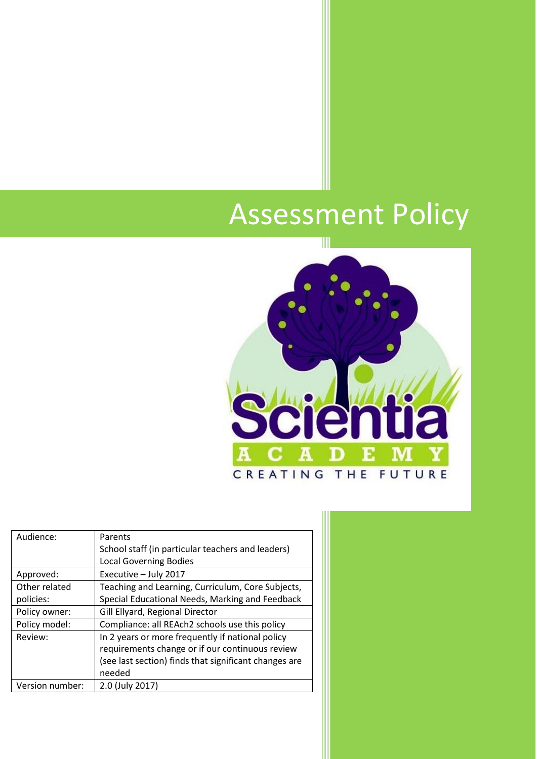# Assessment Policy



| Audience:       | Parents                                               |
|-----------------|-------------------------------------------------------|
|                 | School staff (in particular teachers and leaders)     |
|                 | <b>Local Governing Bodies</b>                         |
| Approved:       | Executive - July 2017                                 |
| Other related   | Teaching and Learning, Curriculum, Core Subjects,     |
| policies:       | Special Educational Needs, Marking and Feedback       |
| Policy owner:   | Gill Ellyard, Regional Director                       |
| Policy model:   | Compliance: all REAch2 schools use this policy        |
| Review:         | In 2 years or more frequently if national policy      |
|                 | requirements change or if our continuous review       |
|                 | (see last section) finds that significant changes are |
|                 | needed                                                |
| Version number: | 2.0 (July 2017)                                       |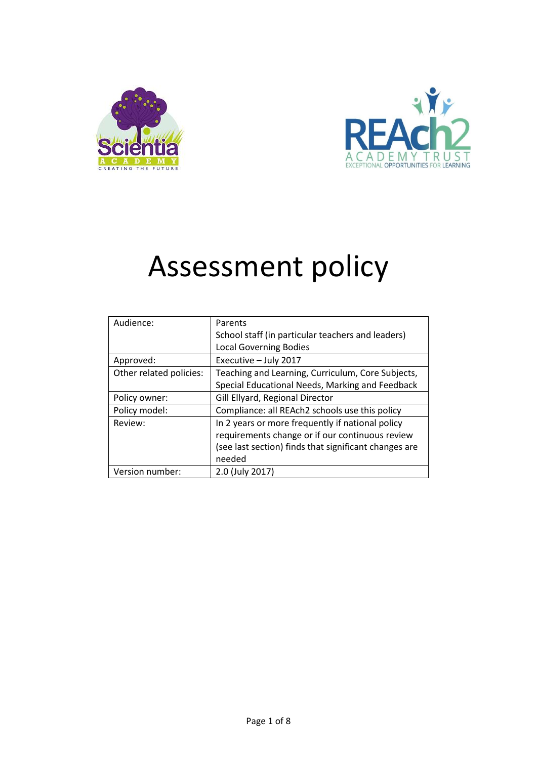



# Assessment policy

| Audience:               | Parents                                               |  |
|-------------------------|-------------------------------------------------------|--|
|                         | School staff (in particular teachers and leaders)     |  |
|                         | <b>Local Governing Bodies</b>                         |  |
| Approved:               | Executive - July 2017                                 |  |
| Other related policies: | Teaching and Learning, Curriculum, Core Subjects,     |  |
|                         | Special Educational Needs, Marking and Feedback       |  |
| Policy owner:           | Gill Ellyard, Regional Director                       |  |
| Policy model:           | Compliance: all REAch2 schools use this policy        |  |
| Review:                 | In 2 years or more frequently if national policy      |  |
|                         | requirements change or if our continuous review       |  |
|                         | (see last section) finds that significant changes are |  |
|                         | needed                                                |  |
| Version number:         | 2.0 (July 2017)                                       |  |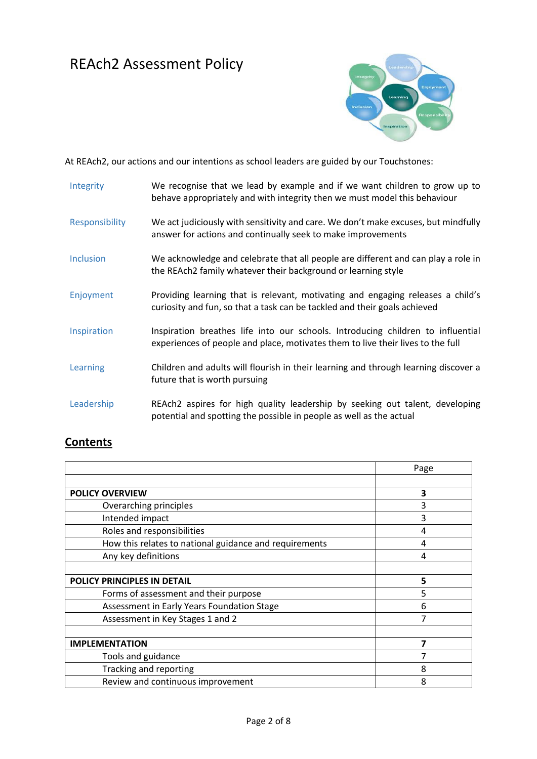## REAch2 Assessment Policy



At REAch2, our actions and our intentions as school leaders are guided by our Touchstones:

| Integrity        | We recognise that we lead by example and if we want children to grow up to<br>behave appropriately and with integrity then we must model this behaviour            |
|------------------|--------------------------------------------------------------------------------------------------------------------------------------------------------------------|
| Responsibility   | We act judiciously with sensitivity and care. We don't make excuses, but mindfully<br>answer for actions and continually seek to make improvements                 |
| <b>Inclusion</b> | We acknowledge and celebrate that all people are different and can play a role in<br>the REAch2 family whatever their background or learning style                 |
| Enjoyment        | Providing learning that is relevant, motivating and engaging releases a child's<br>curiosity and fun, so that a task can be tackled and their goals achieved       |
| Inspiration      | Inspiration breathes life into our schools. Introducing children to influential<br>experiences of people and place, motivates them to live their lives to the full |
| Learning         | Children and adults will flourish in their learning and through learning discover a<br>future that is worth pursuing                                               |
| Leadership       | REAch2 aspires for high quality leadership by seeking out talent, developing<br>potential and spotting the possible in people as well as the actual                |

### **Contents**

|                                                        | Page |
|--------------------------------------------------------|------|
|                                                        |      |
| <b>POLICY OVERVIEW</b>                                 | 3    |
| Overarching principles                                 | 3    |
| Intended impact                                        | 3    |
| Roles and responsibilities                             | 4    |
| How this relates to national guidance and requirements | 4    |
| Any key definitions                                    | 4    |
|                                                        |      |
| POLICY PRINCIPLES IN DETAIL                            | 5    |
| Forms of assessment and their purpose                  | 5    |
| Assessment in Early Years Foundation Stage             | 6    |
| Assessment in Key Stages 1 and 2                       |      |
|                                                        |      |
| <b>IMPLEMENTATION</b>                                  |      |
| Tools and guidance                                     |      |
| Tracking and reporting                                 | 8    |
| Review and continuous improvement                      | 8    |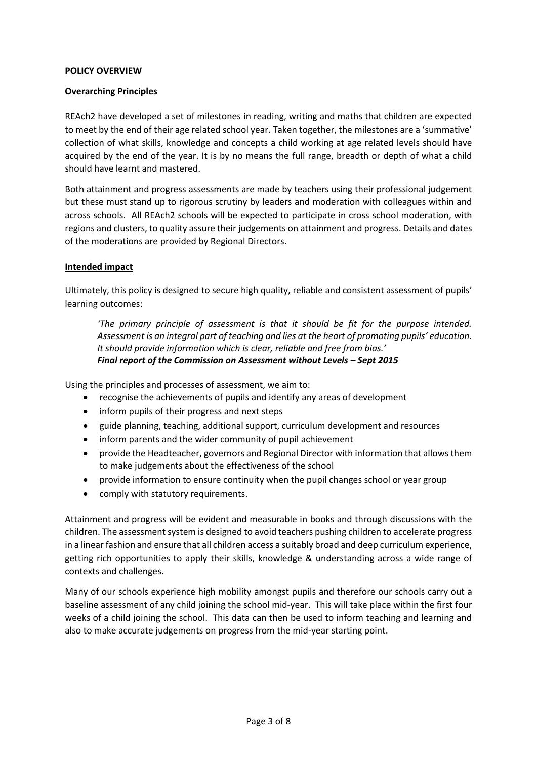#### **POLICY OVERVIEW**

#### **Overarching Principles**

REAch2 have developed a set of milestones in reading, writing and maths that children are expected to meet by the end of their age related school year. Taken together, the milestones are a 'summative' collection of what skills, knowledge and concepts a child working at age related levels should have acquired by the end of the year. It is by no means the full range, breadth or depth of what a child should have learnt and mastered.

Both attainment and progress assessments are made by teachers using their professional judgement but these must stand up to rigorous scrutiny by leaders and moderation with colleagues within and across schools. All REAch2 schools will be expected to participate in cross school moderation, with regions and clusters, to quality assure their judgements on attainment and progress. Details and dates of the moderations are provided by Regional Directors.

#### **Intended impact**

Ultimately, this policy is designed to secure high quality, reliable and consistent assessment of pupils' learning outcomes:

*'The primary principle of assessment is that it should be fit for the purpose intended. Assessment is an integral part of teaching and lies at the heart of promoting pupils' education. It should provide information which is clear, reliable and free from bias.' Final report of the Commission on Assessment without Levels – Sept 2015* 

Using the principles and processes of assessment, we aim to:

- recognise the achievements of pupils and identify any areas of development
- inform pupils of their progress and next steps
- guide planning, teaching, additional support, curriculum development and resources
- inform parents and the wider community of pupil achievement
- provide the Headteacher, governors and Regional Director with information that allows them to make judgements about the effectiveness of the school
- provide information to ensure continuity when the pupil changes school or year group
- comply with statutory requirements.

Attainment and progress will be evident and measurable in books and through discussions with the children. The assessment system is designed to avoid teachers pushing children to accelerate progress in a linear fashion and ensure that all children access a suitably broad and deep curriculum experience, getting rich opportunities to apply their skills, knowledge & understanding across a wide range of contexts and challenges.

Many of our schools experience high mobility amongst pupils and therefore our schools carry out a baseline assessment of any child joining the school mid-year. This will take place within the first four weeks of a child joining the school. This data can then be used to inform teaching and learning and also to make accurate judgements on progress from the mid-year starting point.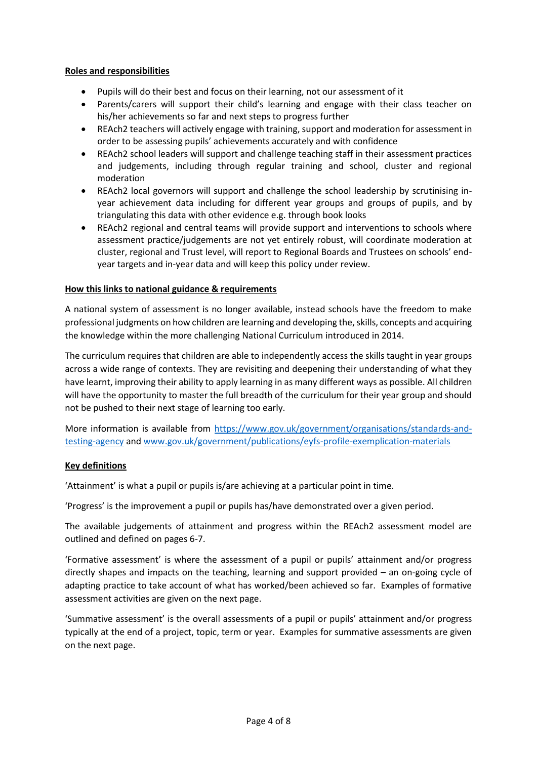#### **Roles and responsibilities**

- Pupils will do their best and focus on their learning, not our assessment of it
- Parents/carers will support their child's learning and engage with their class teacher on his/her achievements so far and next steps to progress further
- REAch2 teachers will actively engage with training, support and moderation for assessment in order to be assessing pupils' achievements accurately and with confidence
- REAch2 school leaders will support and challenge teaching staff in their assessment practices and judgements, including through regular training and school, cluster and regional moderation
- REAch2 local governors will support and challenge the school leadership by scrutinising inyear achievement data including for different year groups and groups of pupils, and by triangulating this data with other evidence e.g. through book looks
- REAch2 regional and central teams will provide support and interventions to schools where assessment practice/judgements are not yet entirely robust, will coordinate moderation at cluster, regional and Trust level, will report to Regional Boards and Trustees on schools' endyear targets and in-year data and will keep this policy under review.

#### **How this links to national guidance & requirements**

A national system of assessment is no longer available, instead schools have the freedom to make professional judgments on how children are learning and developing the, skills, concepts and acquiring the knowledge within the more challenging National Curriculum introduced in 2014.

The curriculum requires that children are able to independently access the skills taught in year groups across a wide range of contexts. They are revisiting and deepening their understanding of what they have learnt, improving their ability to apply learning in as many different ways as possible. All children will have the opportunity to master the full breadth of the curriculum for their year group and should not be pushed to their next stage of learning too early.

More information is available from [https://www.gov.uk/government/organisations/standards-and](https://www.gov.uk/government/organisations/standards-and-testing-agency)[testing-agency](https://www.gov.uk/government/organisations/standards-and-testing-agency) and [www.gov.uk/government/publications/eyfs-profile-exemplication-materials](http://www.gov.uk/government/publications/eyfs-profile-exemplication-materials)

#### **Key definitions**

'Attainment' is what a pupil or pupils is/are achieving at a particular point in time.

'Progress' is the improvement a pupil or pupils has/have demonstrated over a given period.

The available judgements of attainment and progress within the REAch2 assessment model are outlined and defined on pages 6-7.

'Formative assessment' is where the assessment of a pupil or pupils' attainment and/or progress directly shapes and impacts on the teaching, learning and support provided – an on-going cycle of adapting practice to take account of what has worked/been achieved so far. Examples of formative assessment activities are given on the next page.

'Summative assessment' is the overall assessments of a pupil or pupils' attainment and/or progress typically at the end of a project, topic, term or year. Examples for summative assessments are given on the next page.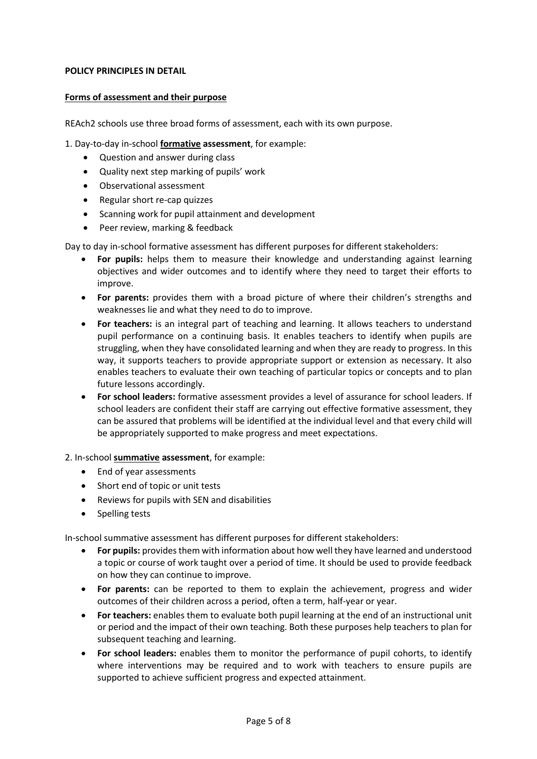#### **POLICY PRINCIPLES IN DETAIL**

#### **Forms of assessment and their purpose**

REAch2 schools use three broad forms of assessment, each with its own purpose.

1. Day-to-day in-school **formative assessment**, for example:

- Question and answer during class
- Quality next step marking of pupils' work
- Observational assessment
- Regular short re-cap quizzes
- Scanning work for pupil attainment and development
- Peer review, marking & feedback

Day to day in-school formative assessment has different purposes for different stakeholders:

- **For pupils:** helps them to measure their knowledge and understanding against learning objectives and wider outcomes and to identify where they need to target their efforts to improve.
- **For parents:** provides them with a broad picture of where their children's strengths and weaknesses lie and what they need to do to improve.
- **For teachers:** is an integral part of teaching and learning. It allows teachers to understand pupil performance on a continuing basis. It enables teachers to identify when pupils are struggling, when they have consolidated learning and when they are ready to progress. In this way, it supports teachers to provide appropriate support or extension as necessary. It also enables teachers to evaluate their own teaching of particular topics or concepts and to plan future lessons accordingly.
- **For school leaders:** formative assessment provides a level of assurance for school leaders. If school leaders are confident their staff are carrying out effective formative assessment, they can be assured that problems will be identified at the individual level and that every child will be appropriately supported to make progress and meet expectations.

2. In-school **summative assessment**, for example:

- End of year assessments
- Short end of topic or unit tests
- Reviews for pupils with SEN and disabilities
- Spelling tests

In-school summative assessment has different purposes for different stakeholders:

- **For pupils:** provides them with information about how well they have learned and understood a topic or course of work taught over a period of time. It should be used to provide feedback on how they can continue to improve.
- **For parents:** can be reported to them to explain the achievement, progress and wider outcomes of their children across a period, often a term, half-year or year.
- **For teachers:** enables them to evaluate both pupil learning at the end of an instructional unit or period and the impact of their own teaching. Both these purposes help teachers to plan for subsequent teaching and learning.
- **For school leaders:** enables them to monitor the performance of pupil cohorts, to identify where interventions may be required and to work with teachers to ensure pupils are supported to achieve sufficient progress and expected attainment.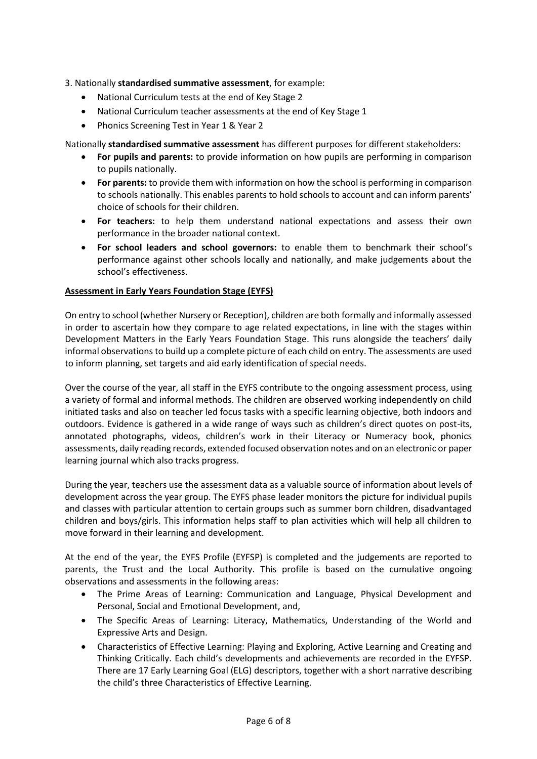#### 3. Nationally **standardised summative assessment**, for example:

- National Curriculum tests at the end of Key Stage 2
- National Curriculum teacher assessments at the end of Key Stage 1
- Phonics Screening Test in Year 1 & Year 2

Nationally **standardised summative assessment** has different purposes for different stakeholders:

- **For pupils and parents:** to provide information on how pupils are performing in comparison to pupils nationally.
- **For parents:** to provide them with information on how the school is performing in comparison to schools nationally. This enables parents to hold schools to account and can inform parents' choice of schools for their children.
- **For teachers:** to help them understand national expectations and assess their own performance in the broader national context.
- **For school leaders and school governors:** to enable them to benchmark their school's performance against other schools locally and nationally, and make judgements about the school's effectiveness.

#### **Assessment in Early Years Foundation Stage (EYFS)**

On entry to school (whether Nursery or Reception), children are both formally and informally assessed in order to ascertain how they compare to age related expectations, in line with the stages within Development Matters in the Early Years Foundation Stage. This runs alongside the teachers' daily informal observations to build up a complete picture of each child on entry. The assessments are used to inform planning, set targets and aid early identification of special needs.

Over the course of the year, all staff in the EYFS contribute to the ongoing assessment process, using a variety of formal and informal methods. The children are observed working independently on child initiated tasks and also on teacher led focus tasks with a specific learning objective, both indoors and outdoors. Evidence is gathered in a wide range of ways such as children's direct quotes on post-its, annotated photographs, videos, children's work in their Literacy or Numeracy book, phonics assessments, daily reading records, extended focused observation notes and on an electronic or paper learning journal which also tracks progress.

During the year, teachers use the assessment data as a valuable source of information about levels of development across the year group. The EYFS phase leader monitors the picture for individual pupils and classes with particular attention to certain groups such as summer born children, disadvantaged children and boys/girls. This information helps staff to plan activities which will help all children to move forward in their learning and development.

At the end of the year, the EYFS Profile (EYFSP) is completed and the judgements are reported to parents, the Trust and the Local Authority. This profile is based on the cumulative ongoing observations and assessments in the following areas:

- The Prime Areas of Learning: Communication and Language, Physical Development and Personal, Social and Emotional Development, and,
- The Specific Areas of Learning: Literacy, Mathematics, Understanding of the World and Expressive Arts and Design.
- Characteristics of Effective Learning: Playing and Exploring, Active Learning and Creating and Thinking Critically. Each child's developments and achievements are recorded in the EYFSP. There are 17 Early Learning Goal (ELG) descriptors, together with a short narrative describing the child's three Characteristics of Effective Learning.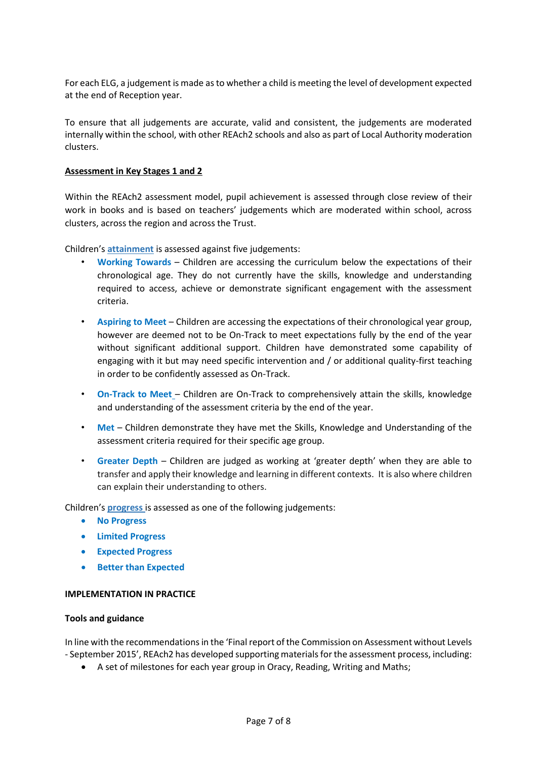For each ELG, a judgement is made as to whether a child is meeting the level of development expected at the end of Reception year.

To ensure that all judgements are accurate, valid and consistent, the judgements are moderated internally within the school, with other REAch2 schools and also as part of Local Authority moderation clusters.

#### **Assessment in Key Stages 1 and 2**

Within the REAch2 assessment model, pupil achievement is assessed through close review of their work in books and is based on teachers' judgements which are moderated within school, across clusters, across the region and across the Trust.

Children's **attainment** is assessed against five judgements:

- **Working Towards** Children are accessing the curriculum below the expectations of their chronological age. They do not currently have the skills, knowledge and understanding required to access, achieve or demonstrate significant engagement with the assessment criteria.
- **Aspiring to Meet** Children are accessing the expectations of their chronological year group, however are deemed not to be On-Track to meet expectations fully by the end of the year without significant additional support. Children have demonstrated some capability of engaging with it but may need specific intervention and / or additional quality-first teaching in order to be confidently assessed as On-Track.
- **On-Track to Meet** Children are On-Track to comprehensively attain the skills, knowledge and understanding of the assessment criteria by the end of the year.
- **Met** Children demonstrate they have met the Skills, Knowledge and Understanding of the assessment criteria required for their specific age group.
- **Greater Depth**  Children are judged as working at 'greater depth' when they are able to transfer and apply their knowledge and learning in different contexts. It is also where children can explain their understanding to others.

Children's **progress** is assessed as one of the following judgements:

- **No Progress**
- **Limited Progress**
- **Expected Progress**
- **•** Better than Expected

#### **IMPLEMENTATION IN PRACTICE**

#### **Tools and guidance**

In line with the recommendations in the 'Final report of the Commission on Assessment without Levels - September 2015', REAch2 has developed supporting materials for the assessment process, including:

A set of milestones for each year group in Oracy, Reading, Writing and Maths;